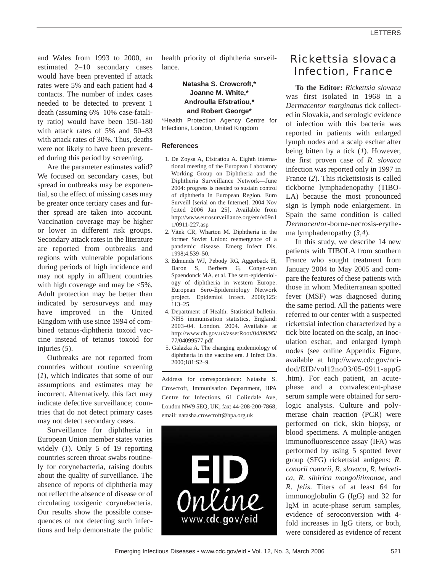and Wales from 1993 to 2000, an estimated 2–10 secondary cases would have been prevented if attack rates were 5% and each patient had 4 contacts. The number of index cases needed to be detected to prevent 1 death (assuming 6%–10% case-fatality ratio) would have been 150–180 with attack rates of 5% and 50–83 with attack rates of 30%. Thus, deaths were not likely to have been prevented during this period by screening.

Are the parameter estimates valid? We focused on secondary cases, but spread in outbreaks may be exponential, so the effect of missing cases may be greater once tertiary cases and further spread are taken into account. Vaccination coverage may be higher or lower in different risk groups. Secondary attack rates in the literature are reported from outbreaks and regions with vulnerable populations during periods of high incidence and may not apply in affluent countries with high coverage and may be <5%. Adult protection may be better than indicated by serosurveys and may have improved in the United Kingdom with use since 1994 of combined tetanus-diphtheria toxoid vaccine instead of tetanus toxoid for injuries (*5*).

Outbreaks are not reported from countries without routine screening (*1*), which indicates that some of our assumptions and estimates may be incorrect. Alternatively, this fact may indicate defective surveillance; countries that do not detect primary cases may not detect secondary cases.

Surveillance for diphtheria in European Union member states varies widely (*1*). Only 5 of 19 reporting countries screen throat swabs routinely for corynebacteria, raising doubts about the quality of surveillance. The absence of reports of diphtheria may not reflect the absence of disease or of circulating toxigenic corynebacteria. Our results show the possible consequences of not detecting such infections and help demonstrate the public

health priority of diphtheria surveillance.

## **Natasha S. Crowcroft,\* Joanne M. White,\* Androulla Efstratiou,\* and Robert George\***

\*Health Protection Agency Centre for Infections, London, United Kingdom

### **References**

- 1. De Zoysa A, Efstratiou A. Eighth international meeting of the European Laboratory Working Group on Diphtheria and the Diphtheria Surveillance Network—June 2004: progress is needed to sustain control of diphtheria in European Region. Euro Surveill [serial on the Internet]. 2004 Nov [cited 2006 Jan 25]. Available from http://www.eurosurveillance.org/em/v09n1 1/0911-227.asp
- 2. Vitek CR, Wharton M. Diphtheria in the former Soviet Union: reemergence of a pandemic disease. Emerg Infect Dis. 1998;4:539–50.
- 3. Edmunds WJ, Pebody RG, Aggerback H, Baron S, Berbers G, Conyn-van Spaendonck MA, et al. The sero-epidemiology of diphtheria in western Europe. European Sero-Epidemiology Network project. Epidemiol Infect. 2000;125: 113–25.
- 4. Department of Health. Statistical bulletin. NHS immunisation statistics, England: 2003–04. London. 2004. Available at http://www.dh.gov.uk/assetRoot/04/09/95/ 77/04099577.pdf
- 5. Galazka A. The changing epidemiology of diphtheria in the vaccine era. J Infect Dis. 2000;181:S2–9.

Address for correspondence: Natasha S. Crowcroft, Immunisation Department, HPA Centre for Infections, 61 Colindale Ave, London NW9 5EQ, UK; fax: 44-208-200-7868; email: natasha.crowcroft@hpa.org.uk



# *Rickettsia slovaca* Infection, France

**To the Editor:** *Rickettsia slovaca* was first isolated in 1968 in a *Dermacentor marginatus* tick collected in Slovakia, and serologic evidence of infection with this bacteria was reported in patients with enlarged lymph nodes and a scalp eschar after being bitten by a tick (*1*). However, the first proven case of *R*. *slovaca* infection was reported only in 1997 in France (*2*). This rickettsiosis is called tickborne lymphadenopathy (TIBO-LA) because the most pronounced sign is lymph node enlargement. In Spain the same condition is called *Dermacentor*-borne-necrosis-erythema lymphadenopathy (*3,4*).

In this study, we describe 14 new patients with TIBOLA from southern France who sought treatment from January 2004 to May 2005 and compare the features of these patients with those in whom Mediterranean spotted fever (MSF) was diagnosed during the same period. All the patients were referred to our center with a suspected rickettsial infection characterized by a tick bite located on the scalp, an inoculation eschar, and enlarged lymph nodes (see online Appendix Figure, available at http://www.cdc.gov/ncidod/EID/vol12no03/05-0911-appG .htm). For each patient, an acutephase and a convalescent-phase serum sample were obtained for serologic analysis. Culture and polymerase chain reaction (PCR) were performed on tick, skin biopsy, or blood specimens. A multiple-antigen immunofluorescence assay (IFA) was performed by using 5 spotted fever group (SFG) rickettsial antigens: *R*. *conorii conorii*, *R*. *slovaca*, *R*. *helvetica*, *R*. *sibirica mongolitimonae*, and *R*. *felis*. Titers of at least 64 for immunoglobulin G (IgG) and 32 for IgM in acute-phase serum samples, evidence of seroconversion with 4 fold increases in IgG titers, or both, were considered as evidence of recent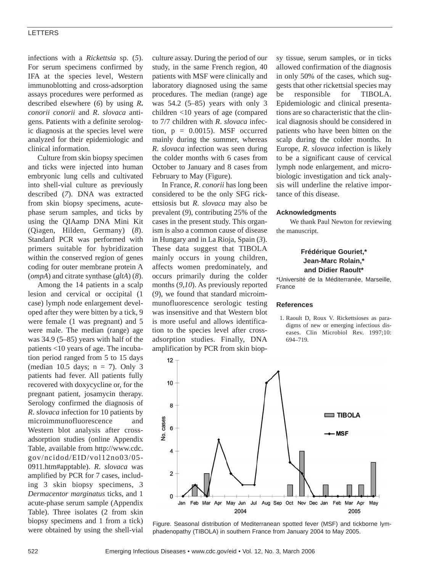### LETTERS

infections with a *Rickettsia* sp. (*5*). For serum specimens confirmed by IFA at the species level, Western immunoblotting and cross-adsorption assays procedures were performed as described elsewhere (*6*) by using *R***.** *conorii conorii* and *R*. *slovaca* antigens. Patients with a definite serologic diagnosis at the species level were analyzed for their epidemiologic and clinical information.

Culture from skin biopsy specimen and ticks were injected into human embryonic lung cells and cultivated into shell-vial culture as previously described (*7*). DNA was extracted from skin biopsy specimens, acutephase serum samples, and ticks by using the QIAamp DNA Mini Kit (Qiagen, Hilden, Germany) (*8*). Standard PCR was performed with primers suitable for hybridization within the conserved region of genes coding for outer membrane protein A (*ompA*) and citrate synthase (*gltA*) (*8*).

Among the 14 patients in a scalp lesion and cervical or occipital (1 case) lymph node enlargement developed after they were bitten by a tick, 9 were female (1 was pregnant) and 5 were male. The median (range) age was 34.9 (5–85) years with half of the patients <10 years of age. The incubation period ranged from 5 to 15 days (median 10.5 days;  $n = 7$ ). Only 3 patients had fever. All patients fully recovered with doxycycline or, for the pregnant patient, josamycin therapy. Serology confirmed the diagnosis of *R*. *slovaca* infection for 10 patients by microimmunofluorescence and Western blot analysis after crossadsorption studies (online Appendix Table, available from http://www.cdc. gov/ncidod/EID/vol12no03/05- 0911.htm#apptable). *R*. *slovaca* was amplified by PCR for 7 cases, including 3 skin biopsy specimens, 3 *Dermacentor marginatus* ticks, and 1 acute-phase serum sample (Appendix Table). Three isolates (2 from skin biopsy specimens and 1 from a tick) were obtained by using the shell-vial

culture assay. During the period of our study, in the same French region, 40 patients with MSF were clinically and laboratory diagnosed using the same procedures. The median (range) age was 54.2 (5–85) years with only 3 children <10 years of age (compared to 7/7 children with *R*. *slovaca* infection,  $p = 0.0015$ ). MSF occurred mainly during the summer, whereas *R*. *slovaca* infection was seen during the colder months with 6 cases from October to January and 8 cases from February to May (Figure).

In France, *R*. *conorii* has long been considered to be the only SFG rickettsiosis but *R*. *slovaca* may also be prevalent (*9*), contributing 25% of the cases in the present study. This organism is also a common cause of disease in Hungary and in La Rioja, Spain (*3*). These data suggest that TIBOLA mainly occurs in young children, affects women predominately, and occurs primarily during the colder months (*9,10*). As previously reported (*9*), we found that standard microimmunofluorescence serologic testing was insensitive and that Western blot is more useful and allows identification to the species level after crossadsorption studies. Finally, DNA amplification by PCR from skin biopsy tissue, serum samples, or in ticks allowed confirmation of the diagnosis in only 50% of the cases, which suggests that other rickettsial species may be responsible for TIBOLA. Epidemiologic and clinical presentations are so characteristic that the clinical diagnosis should be considered in patients who have been bitten on the scalp during the colder months. In Europe, *R*. *slovaca* infection is likely to be a significant cause of cervical lymph node enlargement, and microbiologic investigation and tick analysis will underline the relative importance of this disease.

#### **Acknowledgments**

We thank Paul Newton for reviewing the manuscript.

## **Frédérique Gouriet,\* Jean-Marc Rolain,\* and Didier Raoult\***

\*Université de la Méditerranée, Marseille, France

#### **References**

1. Raoult D, Roux V. Rickettsioses as paradigms of new or emerging infectious diseases. Clin Microbiol Rev. 1997;10: 694–719.



Figure. Seasonal distribution of Mediterranean spotted fever (MSF) and tickborne lymphadenopathy (TIBOLA) in southern France from January 2004 to May 2005.